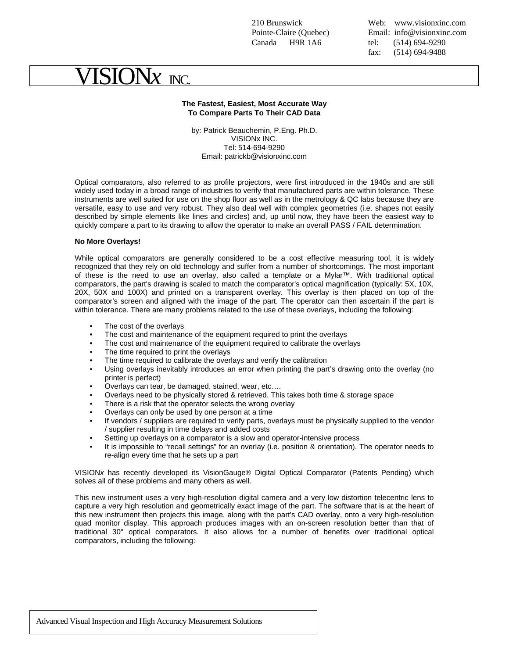210 Brunswick Pointe-Claire (Quebec) Canada H9R 1A6

Web: www.visionxinc.com Email: info@visionxinc.com tel: (514) 694-9290 fax: (514) 694-9488

# $\mathop{\rm ISION}\nolimits_X$  inc.

#### **The Fastest, Easiest, Most Accurate Way To Compare Parts To Their CAD Data**

by: Patrick Beauchemin, P.Eng. Ph.D. VISIONx INC. Tel: 514-694-9290 Email: patrickb@visionxinc.com

Optical comparators, also referred to as profile projectors, were first introduced in the 1940s and are still widely used today in a broad range of industries to verify that manufactured parts are within tolerance. These instruments are well suited for use on the shop floor as well as in the metrology & QC labs because they are versatile, easy to use and very robust. They also deal well with complex geometries (i.e. shapes not easily described by simple elements like lines and circles) and, up until now, they have been the easiest way to quickly compare a part to its drawing to allow the operator to make an overall PASS / FAIL determination.

#### **No More Overlays!**

While optical comparators are generally considered to be a cost effective measuring tool, it is widely recognized that they rely on old technology and suffer from a number of shortcomings. The most important of these is the need to use an overlay, also called a template or a Mylar™. With traditional optical comparators, the part's drawing is scaled to match the comparator's optical magnification (typically: 5X, 10X, 20X, 50X and 100X) and printed on a transparent overlay. This overlay is then placed on top of the comparator's screen and aligned with the image of the part. The operator can then ascertain if the part is within tolerance. There are many problems related to the use of these overlays, including the following:

- The cost of the overlays
- The cost and maintenance of the equipment required to print the overlays
- The cost and maintenance of the equipment required to calibrate the overlays
- The time required to print the overlays
- The time required to calibrate the overlays and verify the calibration
- Using overlays inevitably introduces an error when printing the part's drawing onto the overlay (no printer is perfect)
- Overlays can tear, be damaged, stained, wear, etc….
- Overlays need to be physically stored & retrieved. This takes both time & storage space
- There is a risk that the operator selects the wrong overlay
- Overlays can only be used by one person at a time
- If vendors / suppliers are required to verify parts, overlays must be physically supplied to the vendor / supplier resulting in time delays and added costs
- Setting up overlays on a comparator is a slow and operator-intensive process
- It is impossible to "recall settings" for an overlay (i.e. position & orientation). The operator needs to re-align every time that he sets up a part

VISION*x* has recently developed its VisionGauge® Digital Optical Comparator (Patents Pending) which solves all of these problems and many others as well.

This new instrument uses a very high-resolution digital camera and a very low distortion telecentric lens to capture a very high resolution and geometrically exact image of the part. The software that is at the heart of this new instrument then projects this image, along with the part's CAD overlay, onto a very high-resolution quad monitor display. This approach produces images with an on-screen resolution better than that of traditional 30" optical comparators. It also allows for a number of benefits over traditional optical comparators, including the following: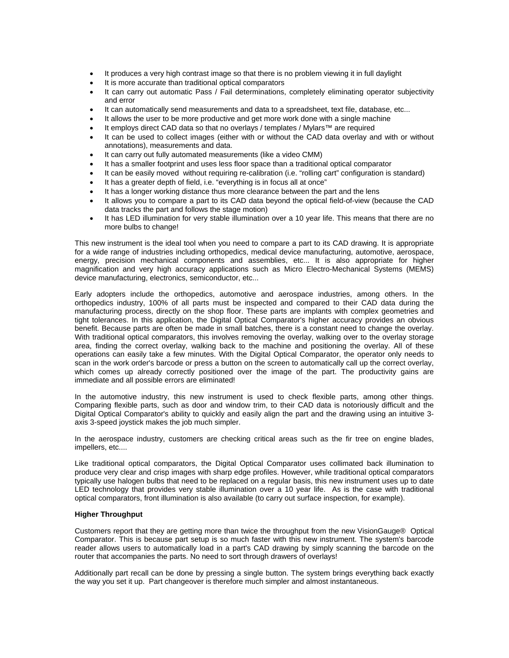- It produces a very high contrast image so that there is no problem viewing it in full daylight
- It is more accurate than traditional optical comparators
- It can carry out automatic Pass / Fail determinations, completely eliminating operator subjectivity and error
- It can automatically send measurements and data to a spreadsheet, text file, database, etc...
- It allows the user to be more productive and get more work done with a single machine
- It employs direct CAD data so that no overlays / templates / Mylars™ are required
- It can be used to collect images (either with or without the CAD data overlay and with or without annotations), measurements and data.
- It can carry out fully automated measurements (like a video CMM)
- It has a smaller footprint and uses less floor space than a traditional optical comparator
- It can be easily moved without requiring re-calibration (i.e. "rolling cart" configuration is standard)
- It has a greater depth of field, i.e. "everything is in focus all at once"
- It has a longer working distance thus more clearance between the part and the lens
- It allows you to compare a part to its CAD data beyond the optical field-of-view (because the CAD data tracks the part and follows the stage motion)
- It has LED illumination for very stable illumination over a 10 year life. This means that there are no more bulbs to change!

This new instrument is the ideal tool when you need to compare a part to its CAD drawing. It is appropriate for a wide range of industries including orthopedics, medical device manufacturing, automotive, aerospace, energy, precision mechanical components and assemblies, etc... It is also appropriate for higher magnification and very high accuracy applications such as Micro Electro-Mechanical Systems (MEMS) device manufacturing, electronics, semiconductor, etc...

Early adopters include the orthopedics, automotive and aerospace industries, among others. In the orthopedics industry, 100% of all parts must be inspected and compared to their CAD data during the manufacturing process, directly on the shop floor. These parts are implants with complex geometries and tight tolerances. In this application, the Digital Optical Comparator's higher accuracy provides an obvious benefit. Because parts are often be made in small batches, there is a constant need to change the overlay. With traditional optical comparators, this involves removing the overlay, walking over to the overlay storage area, finding the correct overlay, walking back to the machine and positioning the overlay. All of these operations can easily take a few minutes. With the Digital Optical Comparator, the operator only needs to scan in the work order's barcode or press a button on the screen to automatically call up the correct overlay, which comes up already correctly positioned over the image of the part. The productivity gains are immediate and all possible errors are eliminated!

In the automotive industry, this new instrument is used to check flexible parts, among other things. Comparing flexible parts, such as door and window trim, to their CAD data is notoriously difficult and the Digital Optical Comparator's ability to quickly and easily align the part and the drawing using an intuitive 3 axis 3-speed joystick makes the job much simpler.

In the aerospace industry, customers are checking critical areas such as the fir tree on engine blades, impellers, etc....

Like traditional optical comparators, the Digital Optical Comparator uses collimated back illumination to produce very clear and crisp images with sharp edge profiles. However, while traditional optical comparators typically use halogen bulbs that need to be replaced on a regular basis, this new instrument uses up to date LED technology that provides very stable illumination over a 10 year life. As is the case with traditional optical comparators, front illumination is also available (to carry out surface inspection, for example).

## **Higher Throughput**

Customers report that they are getting more than twice the throughput from the new VisionGauge® Optical Comparator. This is because part setup is so much faster with this new instrument. The system's barcode reader allows users to automatically load in a part's CAD drawing by simply scanning the barcode on the router that accompanies the parts. No need to sort through drawers of overlays!

Additionally part recall can be done by pressing a single button. The system brings everything back exactly the way you set it up. Part changeover is therefore much simpler and almost instantaneous.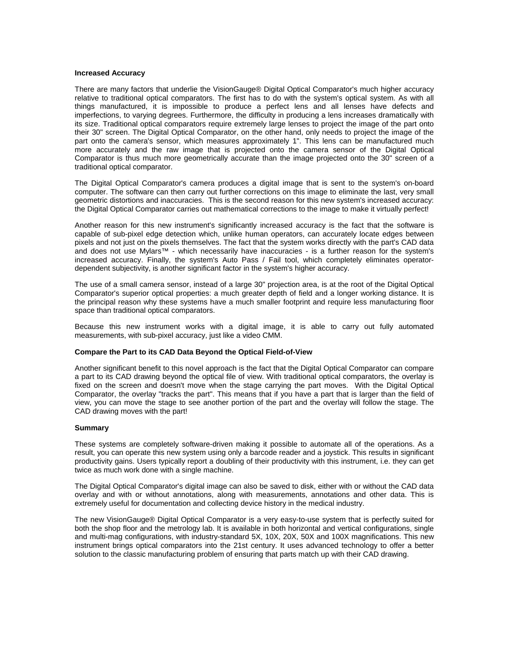#### **Increased Accuracy**

There are many factors that underlie the VisionGauge® Digital Optical Comparator's much higher accuracy relative to traditional optical comparators. The first has to do with the system's optical system. As with all things manufactured, it is impossible to produce a perfect lens and all lenses have defects and imperfections, to varying degrees. Furthermore, the difficulty in producing a lens increases dramatically with its size. Traditional optical comparators require extremely large lenses to project the image of the part onto their 30" screen. The Digital Optical Comparator, on the other hand, only needs to project the image of the part onto the camera's sensor, which measures approximately 1". This lens can be manufactured much more accurately and the raw image that is projected onto the camera sensor of the Digital Optical Comparator is thus much more geometrically accurate than the image projected onto the 30" screen of a traditional optical comparator.

The Digital Optical Comparator's camera produces a digital image that is sent to the system's on-board computer. The software can then carry out further corrections on this image to eliminate the last, very small geometric distortions and inaccuracies. This is the second reason for this new system's increased accuracy: the Digital Optical Comparator carries out mathematical corrections to the image to make it virtually perfect!

Another reason for this new instrument's significantly increased accuracy is the fact that the software is capable of sub-pixel edge detection which, unlike human operators, can accurately locate edges between pixels and not just on the pixels themselves. The fact that the system works directly with the part's CAD data and does not use Mylars™ - which necessarily have inaccuracies - is a further reason for the system's increased accuracy. Finally, the system's Auto Pass / Fail tool, which completely eliminates operatordependent subjectivity, is another significant factor in the system's higher accuracy.

The use of a small camera sensor, instead of a large 30" projection area, is at the root of the Digital Optical Comparator's superior optical properties: a much greater depth of field and a longer working distance. It is the principal reason why these systems have a much smaller footprint and require less manufacturing floor space than traditional optical comparators.

Because this new instrument works with a digital image, it is able to carry out fully automated measurements, with sub-pixel accuracy, just like a video CMM.

## **Compare the Part to its CAD Data Beyond the Optical Field-of-View**

Another significant benefit to this novel approach is the fact that the Digital Optical Comparator can compare a part to its CAD drawing beyond the optical file of view. With traditional optical comparators, the overlay is fixed on the screen and doesn't move when the stage carrying the part moves. With the Digital Optical Comparator, the overlay "tracks the part". This means that if you have a part that is larger than the field of view, you can move the stage to see another portion of the part and the overlay will follow the stage. The CAD drawing moves with the part!

#### **Summary**

These systems are completely software-driven making it possible to automate all of the operations. As a result, you can operate this new system using only a barcode reader and a joystick. This results in significant productivity gains. Users typically report a doubling of their productivity with this instrument, i.e. they can get twice as much work done with a single machine.

The Digital Optical Comparator's digital image can also be saved to disk, either with or without the CAD data overlay and with or without annotations, along with measurements, annotations and other data. This is extremely useful for documentation and collecting device history in the medical industry.

The new VisionGauge® Digital Optical Comparator is a very easy-to-use system that is perfectly suited for both the shop floor and the metrology lab. It is available in both horizontal and vertical configurations, single and multi-mag configurations, with industry-standard 5X, 10X, 20X, 50X and 100X magnifications. This new instrument brings optical comparators into the 21st century. It uses advanced technology to offer a better solution to the classic manufacturing problem of ensuring that parts match up with their CAD drawing.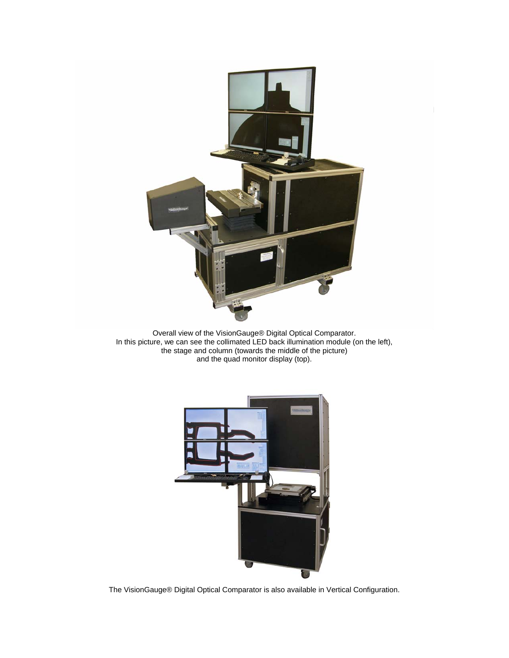

Overall view of the VisionGauge® Digital Optical Comparator. In this picture, we can see the collimated LED back illumination module (on the left), the stage and column (towards the middle of the picture) and the quad monitor display (top).



The VisionGauge® Digital Optical Comparator is also available in Vertical Configuration.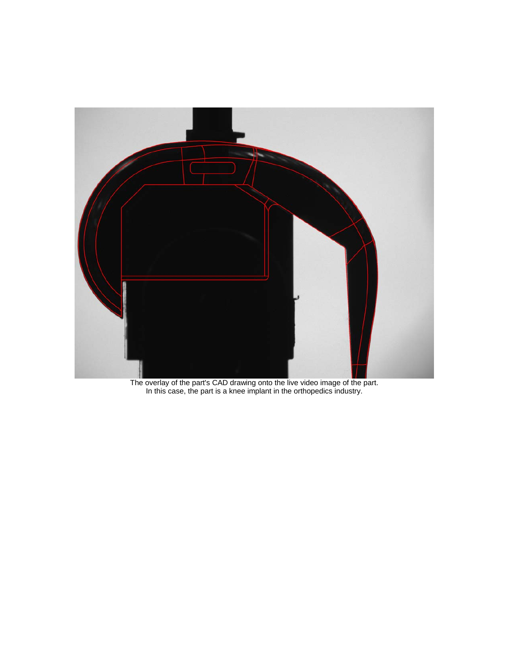

The overlay of the part's CAD drawing onto the live video image of the part. In this case, the part is a knee implant in the orthopedics industry.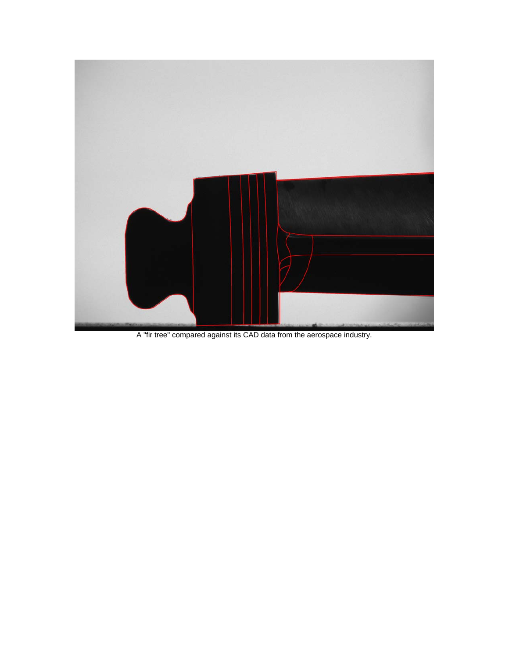

A "fir tree" compared against its CAD data from the aerospace industry.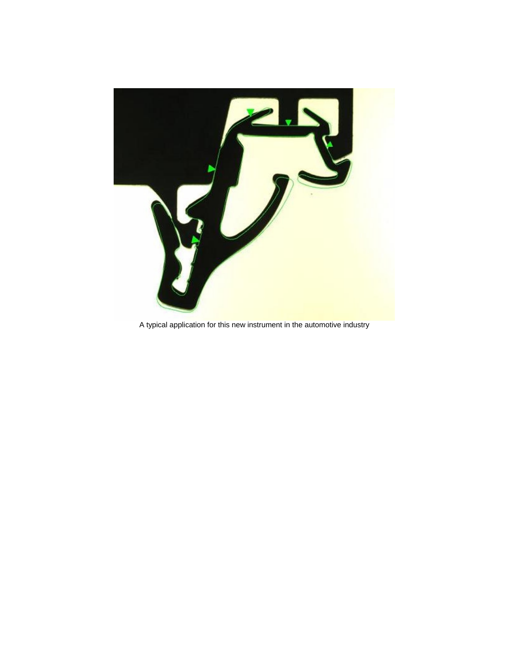

A typical application for this new instrument in the automotive industry